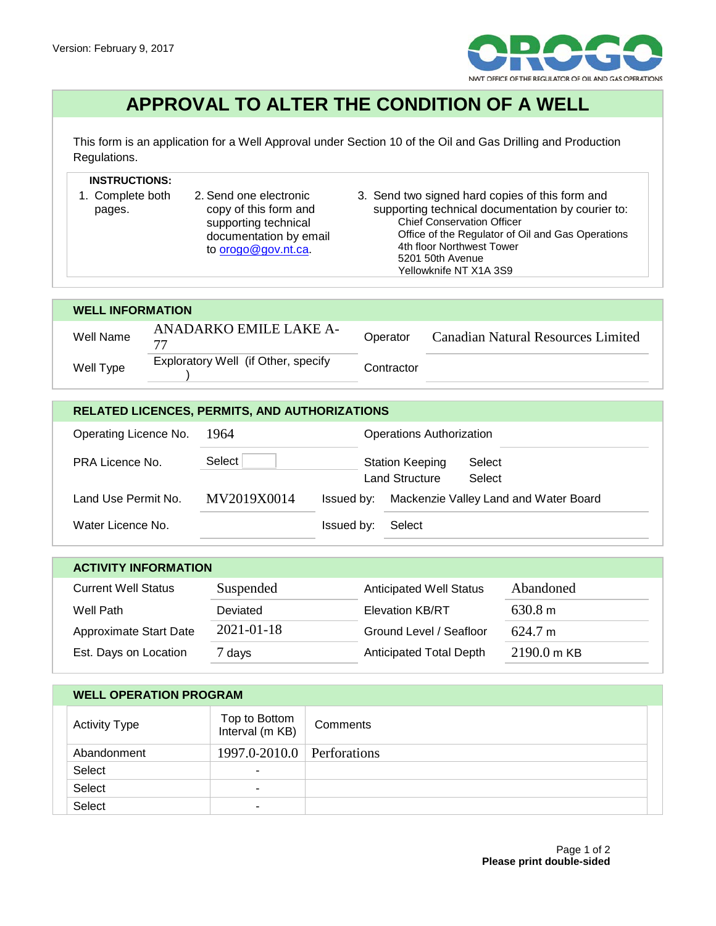

## **APPROVAL TO ALTER THE CONDITION OF A WELL**

This form is an application for a Well Approval under Section 10 of the Oil and Gas Drilling and Production Regulations.

## **INSTRUCTIONS:**

- 1. Complete both pages. 2. Send one electronic copy of this form and supporting technical documentation by email to **orogo@gov.nt.ca.**
- 3. Send two signed hard copies of this form and supporting technical documentation by courier to: Chief Conservation Officer Office of the Regulator of Oil and Gas Operations 4th floor Northwest Tower 5201 50th Avenue Yellowknife NT X1A 3S9

## **WELL INFORMATION** Well Name ANADARKO EMILE LAKE A-<sup>77</sup> Operator Canadian Natural Resources Limited Well Type Exploratory Well (if Other, specify ) Contractor

| <b>RELATED LICENCES, PERMITS, AND AUTHORIZATIONS</b> |             |            |                                          |                                       |  |  |
|------------------------------------------------------|-------------|------------|------------------------------------------|---------------------------------------|--|--|
| Operating Licence No.                                | 1964        |            | <b>Operations Authorization</b>          |                                       |  |  |
| <b>PRA Licence No.</b>                               | Select      |            | <b>Station Keeping</b><br>Land Structure | Select<br>Select                      |  |  |
| Land Use Permit No.                                  | MV2019X0014 | Issued by: |                                          | Mackenzie Valley Land and Water Board |  |  |
| Water Licence No.                                    |             | Issued by: | Select                                   |                                       |  |  |

| <b>ACTIVITY INFORMATION</b> |                  |                                |                       |  |  |  |  |
|-----------------------------|------------------|--------------------------------|-----------------------|--|--|--|--|
| <b>Current Well Status</b>  | Suspended        | <b>Anticipated Well Status</b> | Abandoned             |  |  |  |  |
| Well Path                   | Deviated         | <b>Elevation KB/RT</b>         | 630.8 m               |  |  |  |  |
| Approximate Start Date      | $2021 - 01 - 18$ | Ground Level / Seafloor        | 624.7 m               |  |  |  |  |
| Est. Days on Location       | 7 days           | <b>Anticipated Total Depth</b> | $2190.0 \text{ m}$ KB |  |  |  |  |

## **WELL OPERATION PROGRAM**

| Activity Type | Top to Bottom<br>Interval (m KB) | Comments |
|---------------|----------------------------------|----------|
| Abandonment   | $1997.0 - 2010.0$ Perforations   |          |
| Select        |                                  |          |
| Select        | ٠                                |          |
| Select        | ۰                                |          |